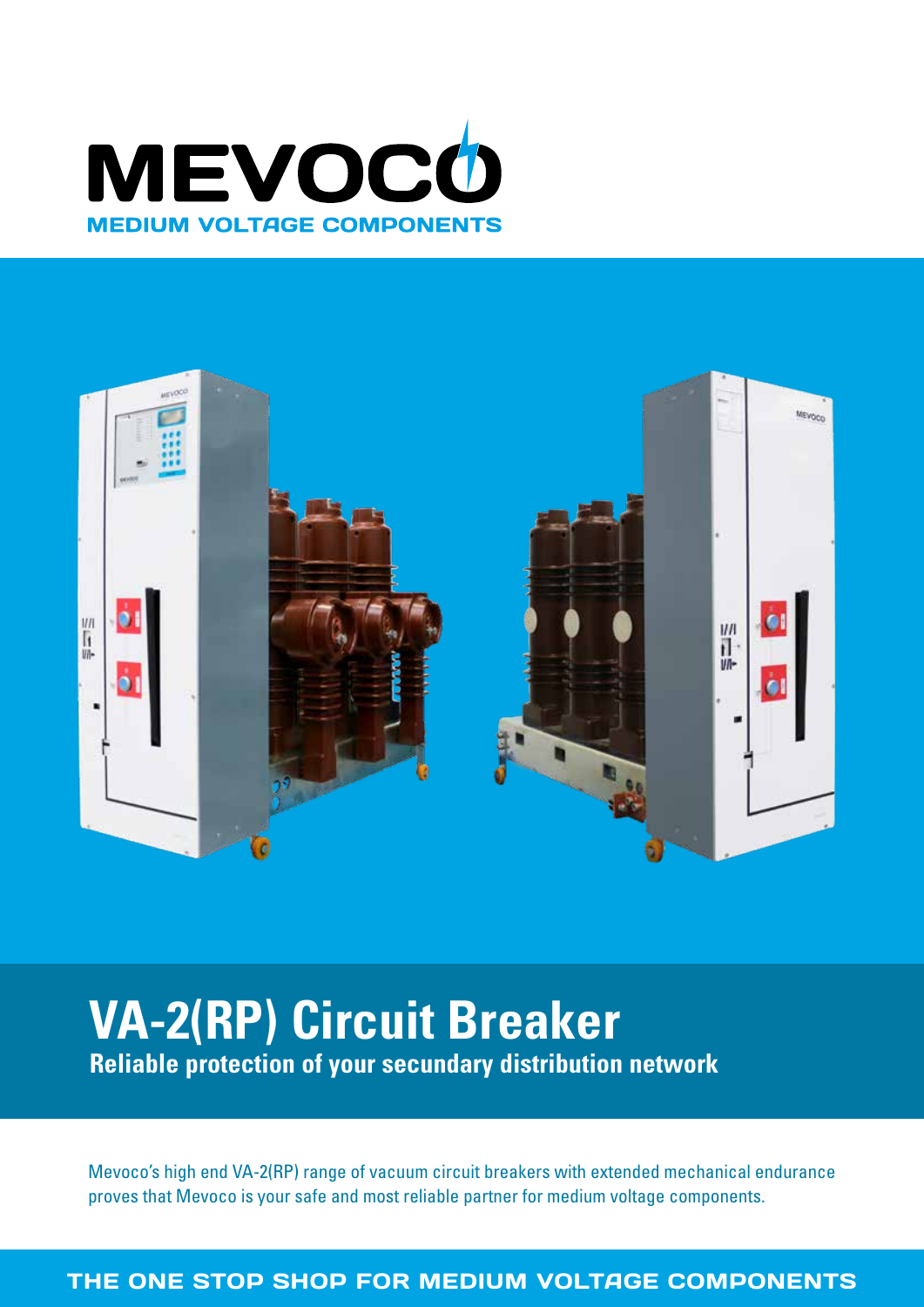



# **VA-2(RP) Circuit Breaker Reliable protection of your secundary distribution network**

Mevoco's high end VA-2(RP) range of vacuum circuit breakers with extended mechanical endurance proves that Mevoco is your safe and most reliable partner for medium voltage components.

THE ONE STOP SHOP FOR MEDIUM VOLTAGE COMPONENTS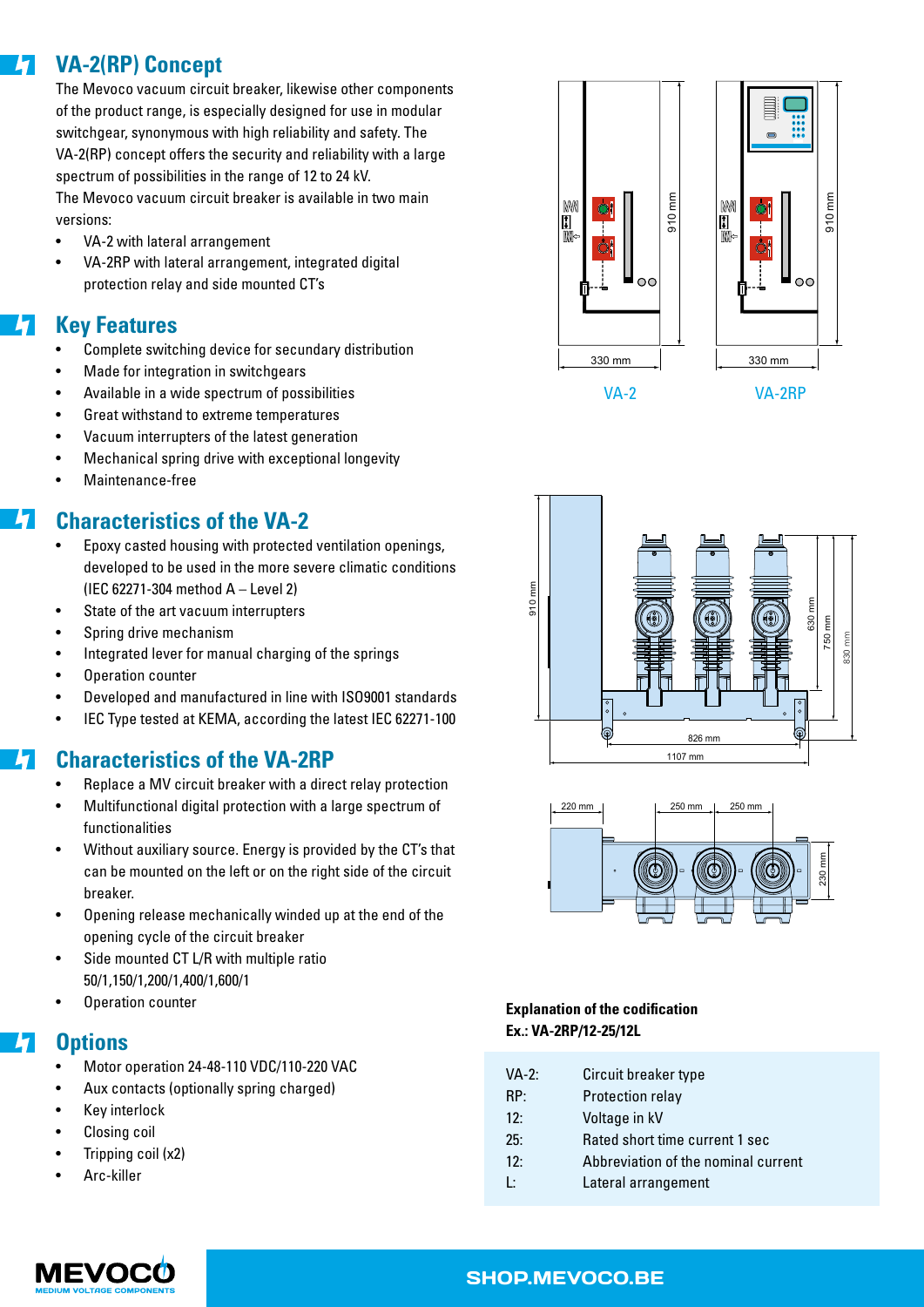### **VA-2(RP) Concept**  $\frac{1}{2}$

The Mevoco vacuum circuit breaker, likewise other components of the product range, is especially designed for use in modular switchgear, synonymous with high reliability and safety. The **1 2 3 1 2 3** VA-2(RP) concept offers the security and reliability with a large **5 6 7 8 5 6 7 <sup>8</sup> 1 2 3 4 5 6** spectrum of possibilities in the range of 12 to 24 kV. The Mevoco vacuum circuit breaker is available in two main versions:

- VA-2 with lateral arrangement
- VA-2RP with lateral arrangement, integrated digital protection relay and side mounted CT's ir<br>ا ا

#### 4 **Key Features**

- Complete switching device for secundary distribution
- Made for integration in switchgears
- Available in a wide spectrum of possibilities
- Great withstand to extreme temperatures
- Vacuum interrupters of the latest generation 330 mm
- Mechanical spring drive with exceptional longevity
- Maintenance-free

#### $\vert \bm{\mathcal{H}} \vert$ **Characteristics of the VA-2**

- Epoxy casted housing with protected ventilation openings, developed to be used in the more severe climatic conditions (IEC 62271-304 method A – Level 2)
- IEC 62271-304 method A Level 2)<br>State of the art vacuum interrupters •
- Spring drive mechanism
- Integrated lever for manual charging of the springs
- Operation counter
- Developed and manufactured in line with ISO9001 standards
- IEC Type tested at KEMA, according the latest IEC 62271-100

#### **Characteristics of the VA-2RP**  $\boldsymbol{H}$

- Replace a MV circuit breaker with a direct relay protection
- Multifunctional digital protection with a large spectrum of functionalities
- Without auxiliary source. Energy is provided by the CT's that can be mounted on the left or on the right side of the circuit breaker.
- Opening release mechanically winded up at the end of the opening cycle of the circuit breaker
- Side mounted CT L/R with multiple ratio 50/1,150/1,200/1,400/1,600/1
- Operation counter

#### $\frac{1}{2}$ **Options**

- Motor operation 24-48-110 VDC/110-220 VAC
- Aux contacts (optionally spring charged)
- Key interlock
- Closing coil
- Tripping coil (x2)
- Arc-killer



VA-2 VA-2RP





### **Explanation of the codification Ex.: VA-2RP/12-25/12L**

- RP: Protection relay
- 12: Voltage in kV
- 25: Rated short time current 1 sec
- 12: Abbreviation of the nominal current
- L: Lateral arrangement



### SHOP.MEVOCO.BE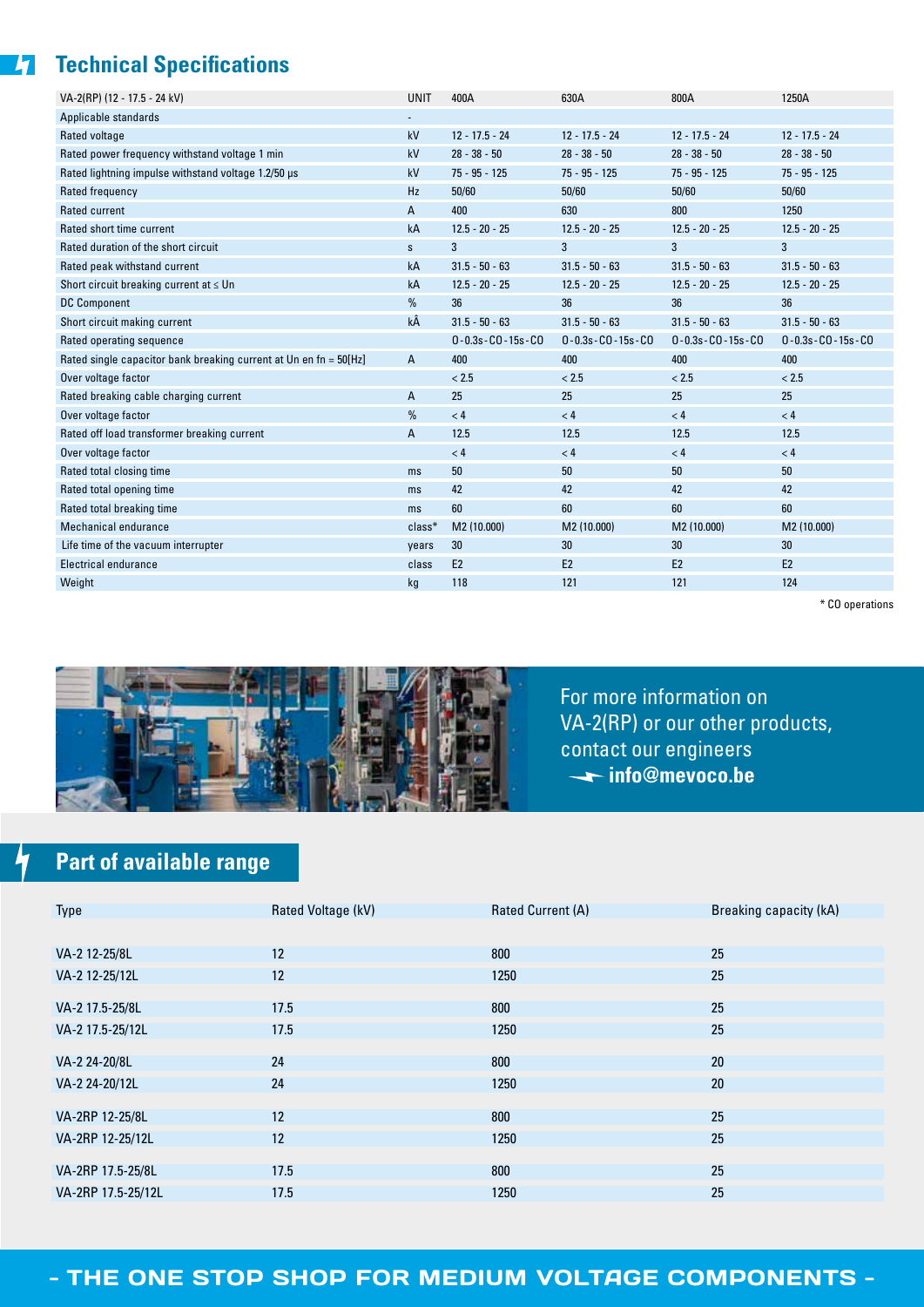## **Table 12 Technical Specifications**

| VA-2(RP) (12 - 17.5 - 24 kV)                                      | <b>UNIT</b>  | 400A                       | 630A                       | 800A                       | 1250A                      |
|-------------------------------------------------------------------|--------------|----------------------------|----------------------------|----------------------------|----------------------------|
| Applicable standards                                              |              |                            |                            |                            |                            |
| Rated voltage                                                     | kV           | $12 - 17.5 - 24$           | $12 - 17.5 - 24$           | $12 - 17.5 - 24$           | $12 - 17.5 - 24$           |
| Rated power frequency withstand voltage 1 min                     | kV           | $28 - 38 - 50$             | $28 - 38 - 50$             | $28 - 38 - 50$             | $28 - 38 - 50$             |
| Rated lightning impulse withstand voltage 1.2/50 us               | kV           | $75 - 95 - 125$            | $75 - 95 - 125$            | $75 - 95 - 125$            | $75 - 95 - 125$            |
| Rated frequency                                                   | <b>Hz</b>    | 50/60                      | 50/60                      | 50/60                      | 50/60                      |
| <b>Rated current</b>                                              | A            | 400                        | 630                        | 800                        | 1250                       |
| Rated short time current                                          | kA           | $12.5 - 20 - 25$           | $12.5 - 20 - 25$           | $12.5 - 20 - 25$           | $12.5 - 20 - 25$           |
| Rated duration of the short circuit                               | $\mathsf{s}$ | 3                          | 3                          | 3                          | 3                          |
| Rated peak withstand current                                      | kA           | $31.5 - 50 - 63$           | $31.5 - 50 - 63$           | $31.5 - 50 - 63$           | $31.5 - 50 - 63$           |
| Short circuit breaking current at $\leq$ Un                       | kA           | $12.5 - 20 - 25$           | $12.5 - 20 - 25$           | $12.5 - 20 - 25$           | $12.5 - 20 - 25$           |
| <b>DC Component</b>                                               | %            | 36                         | 36                         | 36                         | 36                         |
| Short circuit making current                                      | kÂ           | $31.5 - 50 - 63$           | $31.5 - 50 - 63$           | $31.5 - 50 - 63$           | $31.5 - 50 - 63$           |
| Rated operating sequence                                          |              | $0 - 0.3s - C0 - 15s - C0$ | $0 - 0.3s - C0 - 15s - C0$ | $0 - 0.3s - C0 - 15s - C0$ | $0 - 0.3s - C0 - 15s - C0$ |
| Rated single capacitor bank breaking current at Un en fn = 50[Hz] | A            | 400                        | 400                        | 400                        | 400                        |
| Over voltage factor                                               |              | < 2.5                      | < 2.5                      | < 2.5                      | < 2.5                      |
| Rated breaking cable charging current                             | A            | 25                         | 25                         | 25                         | 25                         |
| Over voltage factor                                               | %            | < 4                        | < 4                        | < 4                        | < 4                        |
| Rated off load transformer breaking current                       | A            | 12.5                       | 12.5                       | 12.5                       | 12.5                       |
| Over voltage factor                                               |              | < 4                        | < 4                        | < 4                        | < 4                        |
| Rated total closing time                                          | ms           | 50                         | 50                         | 50                         | 50                         |
| Rated total opening time                                          | ms           | 42                         | 42                         | 42                         | 42                         |
| Rated total breaking time                                         | ms           | 60                         | 60                         | 60                         | 60                         |
| Mechanical endurance                                              | $class*$     | M2 (10.000)                | M2 (10.000)                | M2 (10.000)                | M2 (10.000)                |
| Life time of the vacuum interrupter                               | years        | 30                         | 30                         | 30 <sup>°</sup>            | 30 <sup>°</sup>            |
| Electrical endurance                                              | class        | E <sub>2</sub>             | E <sub>2</sub>             | E <sub>2</sub>             | E <sub>2</sub>             |
| Weight                                                            | kg           | 118                        | 121                        | 121                        | 124                        |

\* CO operations



For more information on VA-2(RP) or our other products, contact our engineers **info@mevoco.be**

# **Part of available range**

 $\frac{1}{\sqrt{2}}$ 

| Type               | Rated Voltage (kV) | Rated Current (A) | Breaking capacity (kA) |
|--------------------|--------------------|-------------------|------------------------|
|                    |                    |                   |                        |
| VA-2 12-25/8L      | 12                 | 800               | 25                     |
| VA-2 12-25/12L     | 12                 | 1250              | 25                     |
|                    |                    |                   |                        |
| VA-2 17.5-25/8L    | 17.5               | 800               | 25                     |
| VA-2 17.5-25/12L   | 17.5               | 1250              | 25                     |
|                    |                    |                   |                        |
| VA-2 24-20/8L      | 24                 | 800               | 20                     |
| VA-2 24-20/12L     | 24                 | 1250              | 20                     |
|                    |                    |                   |                        |
| VA-2RP 12-25/8L    | 12                 | 800               | 25                     |
| VA-2RP 12-25/12L   | 12                 | 1250              | 25                     |
|                    |                    |                   |                        |
| VA-2RP 17.5-25/8L  | 17.5               | 800               | 25                     |
| VA-2RP 17.5-25/12L | 17.5               | 1250              | 25                     |

### - THE ONE STOP SHOP FOR MEDIUM VOLTAGE COMPONENTS -